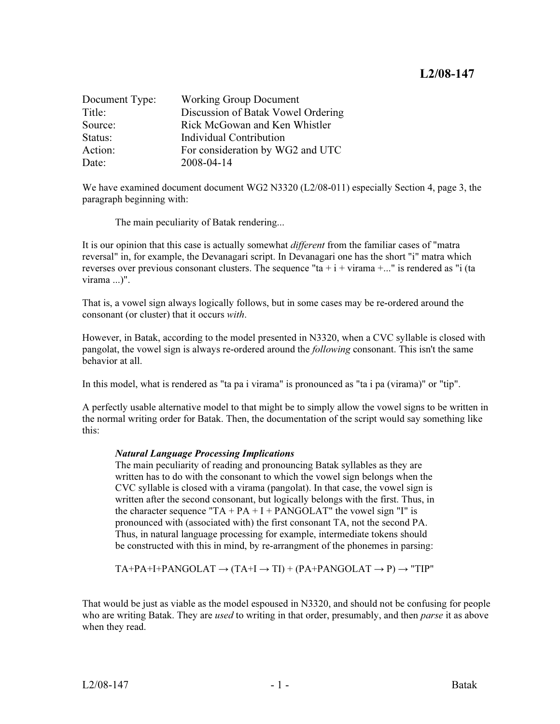| Document Type: | <b>Working Group Document</b>      |
|----------------|------------------------------------|
| Title:         | Discussion of Batak Vowel Ordering |
| Source:        | Rick McGowan and Ken Whistler      |
| Status:        | Individual Contribution            |
| Action:        | For consideration by WG2 and UTC   |
| Date:          | 2008-04-14                         |

We have examined document document WG2 N3320 (L2/08-011) especially Section 4, page 3, the paragraph beginning with:

The main peculiarity of Batak rendering...

It is our opinion that this case is actually somewhat *different* from the familiar cases of "matra" reversal" in, for example, the Devanagari script. In Devanagari one has the short "i" matra which reverses over previous consonant clusters. The sequence "ta  $+i + \nu i$  rama  $+...$ " is rendered as "i (ta virama ...)".

That is, a vowel sign always logically follows, but in some cases may be re-ordered around the consonant (or cluster) that it occurs with.

However, in Batak, according to the model presented in N3320, when a CVC syllable is closed with pangolat, the vowel sign is always re-ordered around the *following* consonant. This isn't the same behavior at all.

In this model, what is rendered as "ta pa i virama" is pronounced as "ta i pa (virama)" or "tip".

A perfectly usable alternative model to that might be to simply allow the vowel signs to be written in the normal writing order for Batak. Then, the documentation of the script would say something like this:

The main peculiarity of reading and pronouncing Batak syllables as they are written has to do with the consonant to which the vowel sign belongs when the CVC syllable is closed with a virama (pangolat). In that case, the vowel sign is written after the second consonant, but logically belongs with the first. Thus, in the character sequence "TA +  $PA + I + PANGOLAT$ " the vowel sign "I" is pronounced with (associated with) the first consonant TA, not the second PA. Thus, in natural language processing for example, intermediate tokens should be constructed with this in mind, by re-arrangment of the phonemes in parsing:

$$
TA+PA+I+PANGOLAT \rightarrow (TA+I \rightarrow TI) + (PA+PANGOLAT \rightarrow P) \rightarrow "TIP"
$$

That would be just as viable as the model espoused in N3320, and should not be confusing for people who are writing Batak. They are used to writing in that order, presumably, and then *parse* it as above when they read.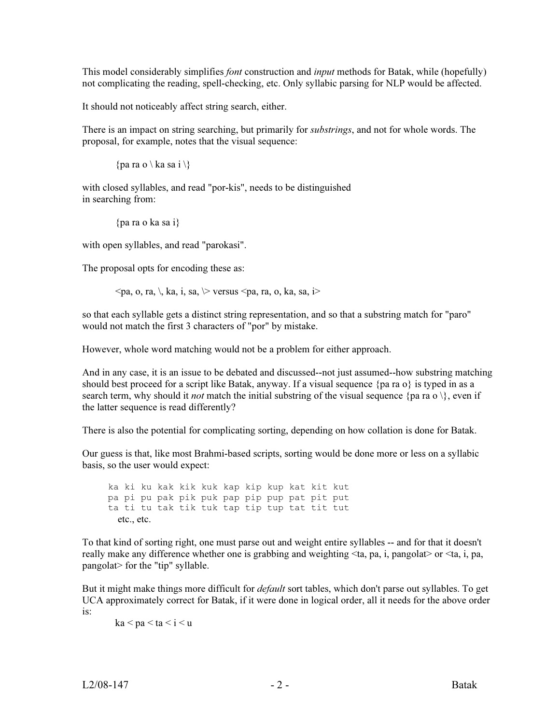This model considerably simplifies *font* construction and *input* methods for Batak, while (hopefully) not complicating the reading, spell-checking, etc. Only syllabic parsing for NLP would be affected.

It should not noticeably affect string search, either.

There is an impact on string searching, but primarily for *substrings*, and not for whole words. The proposal, for example, notes that the visual sequence:

```
{pa ra o \ ka sa i \}
```
with closed syllables, and read "por-kis", needs to be distinguished in searching from:

```
{pa ra o ka sa i}
```
with open syllables, and read "parokasi".

The proposal opts for encoding these as:

 $\langle$ pa, o, ra, \, ka, i, sa,  $\rangle$  versus  $\langle$ pa, ra, o, ka, sa, i $\rangle$ 

so that each syllable gets a distinct string representation, and so that a substring match for "paro" would not match the first 3 characters of "por" by mistake.

However, whole word matching would not be a problem for either approach.

And in any case, it is an issue to be debated and discussed--not just assumed--how substring matching should best proceed for a script like Batak, anyway. If a visual sequence {pa ra  $o$ } is typed in as a search term, why should it *not* match the initial substring of the visual sequence {pa ra o \}, even if the latter sequence is read differently?

There is also the potential for complicating sorting, depending on how collation is done for Batak.

Our guess is that, like most Brahmi-based scripts, sorting would be done more or less on a syllabic basis, so the user would expect:

 ka ki ku kak kik kuk kap kip kup kat kit kut pa pi pu pak pik puk pap pip pup pat pit put ta ti tu tak tik tuk tap tip tup tat tit tut etc., etc.

To that kind of sorting right, one must parse out and weight entire syllables -- and for that it doesn't really make any difference whether one is grabbing and weighting <ta, pa, i, pangolat> or <ta, i, pa, pangolat> for the "tip" syllable.

But it might make things more difficult for *default* sort tables, which don't parse out syllables. To get UCA approximately correct for Batak, if it were done in logical order, all it needs for the above order is:

 $ka < pa < ta < i < u$